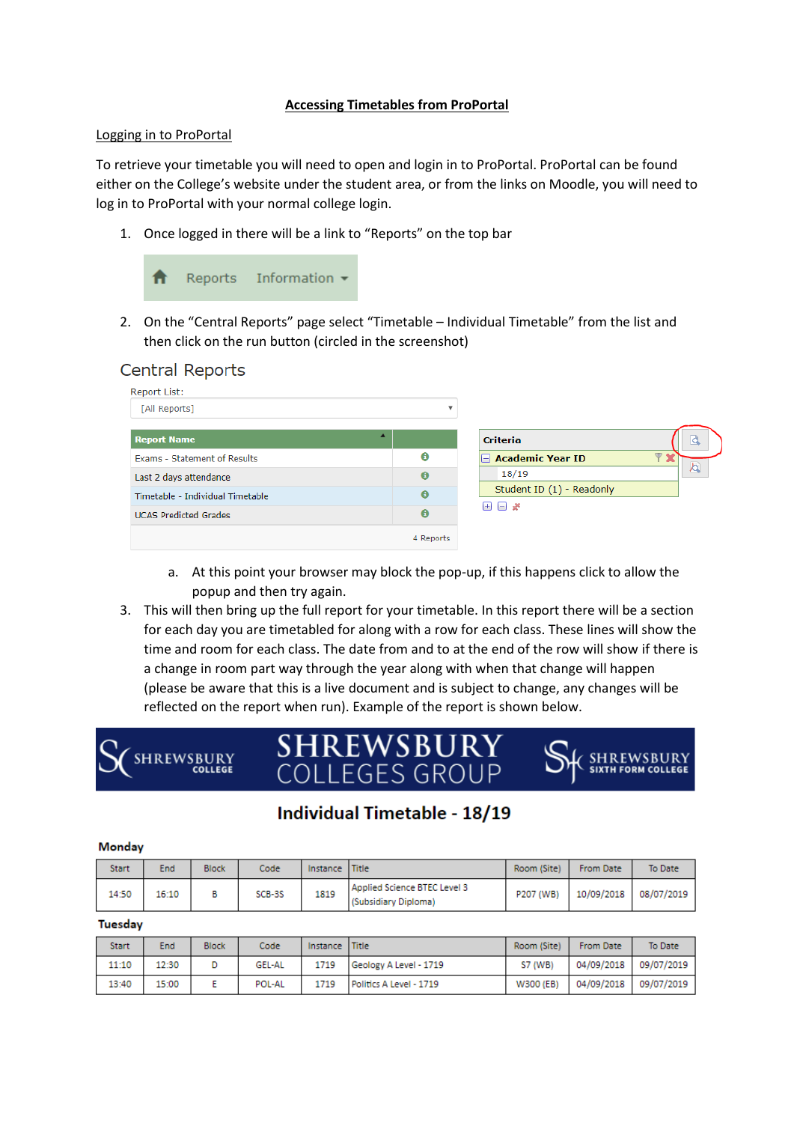## **Accessing Timetables from ProPortal**

## Logging in to ProPortal

**UCAS Predicted Grades** 

To retrieve your timetable you will need to open and login in to ProPortal. ProPortal can be found either on the College's website under the student area, or from the links on Moodle, you will need to log in to ProPortal with your normal college login.

1. Once logged in there will be a link to "Reports" on the top bar



2. On the "Central Reports" page select "Timetable – Individual Timetable" from the list and then click on the run button (circled in the screenshot)





a. At this point your browser may block the pop-up, if this happens click to allow the popup and then try again.

 $\ddot{\mathbf{e}}$ 

3. This will then bring up the full report for your timetable. In this report there will be a section for each day you are timetabled for along with a row for each class. These lines will show the time and room for each class. The date from and to at the end of the row will show if there is a change in room part way through the year along with when that change will happen (please be aware that this is a live document and is subject to change, any changes will be reflected on the report when run). Example of the report is shown below.



# **Individual Timetable - 18/19**

#### Monday

| <b>Start</b> | End   | <b>Block</b> | Code   | Instance Title |                                                      | Room (Site) | <b>From Date</b> | To Date    |
|--------------|-------|--------------|--------|----------------|------------------------------------------------------|-------------|------------------|------------|
| 14:50        | 16:10 |              | SCB-3S | 1819           | Applied Science BTEC Level 3<br>(Subsidiary Diploma) | P207 (WB)   | 10/09/2018       | 08/07/2019 |

#### **Tuesday**

| Start | End   | <b>Block</b> | Code          | Instance Title |                         | Room (Site)    | <b>From Date</b> | To Date    |
|-------|-------|--------------|---------------|----------------|-------------------------|----------------|------------------|------------|
| 11:10 | 12:30 |              | <b>GEL-AL</b> | 1719           | Geology A Level - 1719  | <b>S7 (WB)</b> | 04/09/2018       | 09/07/2019 |
| 13:40 | 15:00 |              | POL-AL        | 1719           | Politics A Level - 1719 | W300 (EB)      | 04/09/2018       | 09/07/2019 |